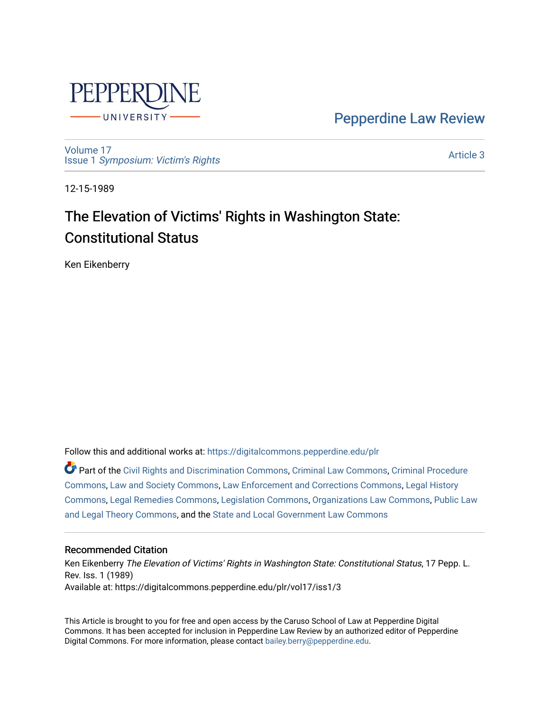

[Pepperdine Law Review](https://digitalcommons.pepperdine.edu/plr) 

[Volume 17](https://digitalcommons.pepperdine.edu/plr/vol17) Issue 1 [Symposium: Victim's Rights](https://digitalcommons.pepperdine.edu/plr/vol17/iss1) 

[Article 3](https://digitalcommons.pepperdine.edu/plr/vol17/iss1/3) 

12-15-1989

# The Elevation of Victims' Rights in Washington State: Constitutional Status

Ken Eikenberry

Follow this and additional works at: [https://digitalcommons.pepperdine.edu/plr](https://digitalcommons.pepperdine.edu/plr?utm_source=digitalcommons.pepperdine.edu%2Fplr%2Fvol17%2Fiss1%2F3&utm_medium=PDF&utm_campaign=PDFCoverPages)

Part of the [Civil Rights and Discrimination Commons,](http://network.bepress.com/hgg/discipline/585?utm_source=digitalcommons.pepperdine.edu%2Fplr%2Fvol17%2Fiss1%2F3&utm_medium=PDF&utm_campaign=PDFCoverPages) [Criminal Law Commons,](http://network.bepress.com/hgg/discipline/912?utm_source=digitalcommons.pepperdine.edu%2Fplr%2Fvol17%2Fiss1%2F3&utm_medium=PDF&utm_campaign=PDFCoverPages) [Criminal Procedure](http://network.bepress.com/hgg/discipline/1073?utm_source=digitalcommons.pepperdine.edu%2Fplr%2Fvol17%2Fiss1%2F3&utm_medium=PDF&utm_campaign=PDFCoverPages)  [Commons](http://network.bepress.com/hgg/discipline/1073?utm_source=digitalcommons.pepperdine.edu%2Fplr%2Fvol17%2Fiss1%2F3&utm_medium=PDF&utm_campaign=PDFCoverPages), [Law and Society Commons,](http://network.bepress.com/hgg/discipline/853?utm_source=digitalcommons.pepperdine.edu%2Fplr%2Fvol17%2Fiss1%2F3&utm_medium=PDF&utm_campaign=PDFCoverPages) [Law Enforcement and Corrections Commons,](http://network.bepress.com/hgg/discipline/854?utm_source=digitalcommons.pepperdine.edu%2Fplr%2Fvol17%2Fiss1%2F3&utm_medium=PDF&utm_campaign=PDFCoverPages) [Legal History](http://network.bepress.com/hgg/discipline/904?utm_source=digitalcommons.pepperdine.edu%2Fplr%2Fvol17%2Fiss1%2F3&utm_medium=PDF&utm_campaign=PDFCoverPages) [Commons](http://network.bepress.com/hgg/discipline/904?utm_source=digitalcommons.pepperdine.edu%2Fplr%2Fvol17%2Fiss1%2F3&utm_medium=PDF&utm_campaign=PDFCoverPages), [Legal Remedies Commons,](http://network.bepress.com/hgg/discipline/618?utm_source=digitalcommons.pepperdine.edu%2Fplr%2Fvol17%2Fiss1%2F3&utm_medium=PDF&utm_campaign=PDFCoverPages) [Legislation Commons,](http://network.bepress.com/hgg/discipline/859?utm_source=digitalcommons.pepperdine.edu%2Fplr%2Fvol17%2Fiss1%2F3&utm_medium=PDF&utm_campaign=PDFCoverPages) [Organizations Law Commons,](http://network.bepress.com/hgg/discipline/865?utm_source=digitalcommons.pepperdine.edu%2Fplr%2Fvol17%2Fiss1%2F3&utm_medium=PDF&utm_campaign=PDFCoverPages) [Public Law](http://network.bepress.com/hgg/discipline/871?utm_source=digitalcommons.pepperdine.edu%2Fplr%2Fvol17%2Fiss1%2F3&utm_medium=PDF&utm_campaign=PDFCoverPages)  [and Legal Theory Commons,](http://network.bepress.com/hgg/discipline/871?utm_source=digitalcommons.pepperdine.edu%2Fplr%2Fvol17%2Fiss1%2F3&utm_medium=PDF&utm_campaign=PDFCoverPages) and the [State and Local Government Law Commons](http://network.bepress.com/hgg/discipline/879?utm_source=digitalcommons.pepperdine.edu%2Fplr%2Fvol17%2Fiss1%2F3&utm_medium=PDF&utm_campaign=PDFCoverPages)

## Recommended Citation

Ken Eikenberry The Elevation of Victims' Rights in Washington State: Constitutional Status, 17 Pepp. L. Rev. Iss. 1 (1989) Available at: https://digitalcommons.pepperdine.edu/plr/vol17/iss1/3

This Article is brought to you for free and open access by the Caruso School of Law at Pepperdine Digital Commons. It has been accepted for inclusion in Pepperdine Law Review by an authorized editor of Pepperdine Digital Commons. For more information, please contact [bailey.berry@pepperdine.edu.](mailto:bailey.berry@pepperdine.edu)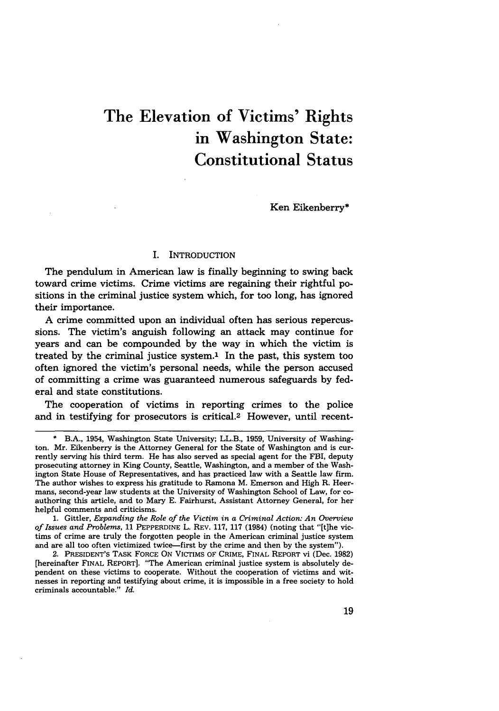## The Elevation of Victims' Rights in Washington State: Constitutional Status

Ken Eikenberry\*

## I. INTRODUCTION

The pendulum in American law is finally beginning to swing back toward crime victims. Crime victims are regaining their rightful positions in the criminal justice system which, for too long, has ignored their importance.

A crime committed upon an individual often has serious repercussions. The victim's anguish following an attack may continue for years and can be compounded by the way in which the victim is treated by the criminal justice system.' In the past, this system too often ignored the victim's personal needs, while the person accused of committing a crime was guaranteed numerous safeguards by federal and state constitutions.

The cooperation of victims in reporting crimes to the police and in testifying for prosecutors is critical.2 However, until recent-

B.A., 1954, Washington State University; LL.B., 1959, University of Washington. Mr. Eikenberry is the Attorney General for the State of Washington and is currently serving his third term. He has also served as special agent for the FBI, deputy prosecuting attorney in King County, Seattle, Washington, and a member of the Washington State House of Representatives, and has practiced law with a Seattle law firm. The author wishes to express his gratitude to Ramona M. Emerson and High R. Heermans, second-year law students at the University of Washington School of Law, for coauthoring this article, and to Mary **E.** Fairhurst, Assistant Attorney General, for her helpful comments and criticisms.

<sup>1.</sup> Gittler, *Expanding the Role of the Victim in a Criminal Action: An Overview of Issues and Problems,* 11 PEPPERDINE L. REV. 117, 117 (1984) (noting that "[t]he victims of crime are truly the forgotten people in the American criminal justice system and are all too often victimized twice-first by the crime and then by the system").

<sup>2.</sup> PRESIDENT'S TASK FORCE ON VICTIMS OF CRIME, FINAL REPORT vi (Dec. 1982) [hereinafter FINAL REPORT]. "The American criminal justice system is absolutely dependent on these victims to cooperate. Without the cooperation of victims and witnesses in reporting and testifying about crime, it is impossible in a free society to hold criminals accountable." *Id.*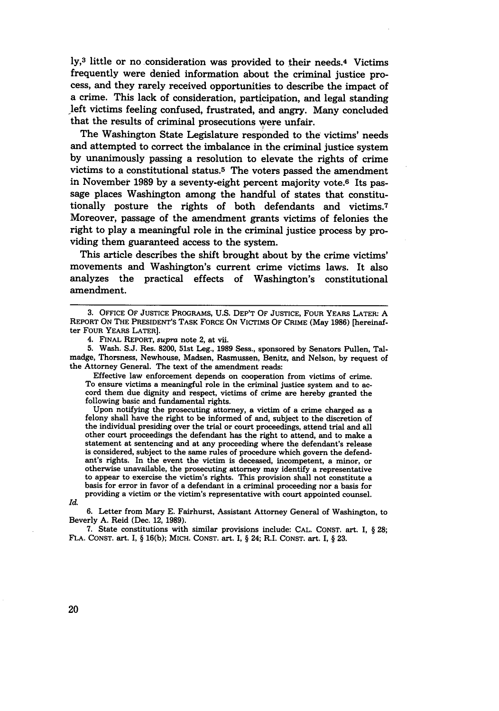ly,3 little or no consideration was provided to their needs.4 Victims frequently were denied information about the criminal justice process, and they rarely received opportunities to describe the impact of a crime. This lack of consideration, participation, and legal standing left victims feeling confused, frustrated, and angry. Many concluded that the results of criminal prosecutions were unfair.

The Washington State Legislature responded to the victims' needs and attempted to correct the imbalance in the criminal justice system by unanimously passing a resolution to elevate the rights of crime victims to a constitutional status.5 The voters passed the amendment in November **1989** by a seventy-eight percent majority vote.6 Its passage places Washington among the handful of states that constitutionally posture the rights of both defendants and victims.7 Moreover, passage of the amendment grants victims of felonies the right to play a meaningful role in the criminal justice process by providing them guaranteed access to the system.

This article describes the shift brought about by the crime victims' movements and Washington's current crime victims laws. It also analyzes the practical effects of Washington's constitutional amendment.

**5.** Wash. S.J. Res. 8200, 51st Leg., **1989** Sess., sponsored by Senators Pullen, Talmadge, Thorsness, Newhouse, Madsen, Rasmussen, Benitz, and Nelson, by request of the Attorney General. The text of the amendment reads:

Effective law enforcement depends on cooperation from victims of crime.<br>To ensure victims a meaningful role in the criminal justice system and to accord them due dignity and respect, victims of crime are hereby granted the following basic and fundamental rights.<br>Upon notifying the prosecuting attorney, a victim of a crime charged as a

felony shall have the right to be informed of and, subject to the discretion of the individual presiding over the trial or court proceedings, attend trial and all other court proceedings the defendant has the right to attend, and to make a statement at sentencing and at any proceeding where the defendant's release is considered, subject to the same rules of procedure which govern the defendant's rights. In the event the victim is deceased, incompetent, a minor, or otherwise unavailable, the prosecuting attorney may identify a representative to appear to exercise the victim's rights. This provision shall not constitute a basis for error in favor of a defendant in a criminal proceeding nor a basis for providing a victim or the victim's representative with court appointed counsel.

*Id.*

**6.** Letter from Mary **E.** Fairhurst, Assistant Attorney General of Washington, to Beverly A. Reid (Dec. 12, **1989).**

7. State constitutions with similar provisions include: CAL. CONST. art. **I,** § **28;** FLA. CONST. art. I, § 16(b); MICH. CONST. art. I, § 24; R.I. CONST. art. I, § **23.**

20

**<sup>3.</sup>** OFFICE OF JUSTICE PROGRAMS, U.S. DEP'T OF JUSTICE, FOUR YEARS LATER: **A** REPORT ON THE PRESIDENT'S TASK FORCE ON VICTIMS OF CRIME (May **1986)** [hereinafter FOUR YEARS LATER].

<sup>4.</sup> FINAL REPORT, *supra* note 2, at vii.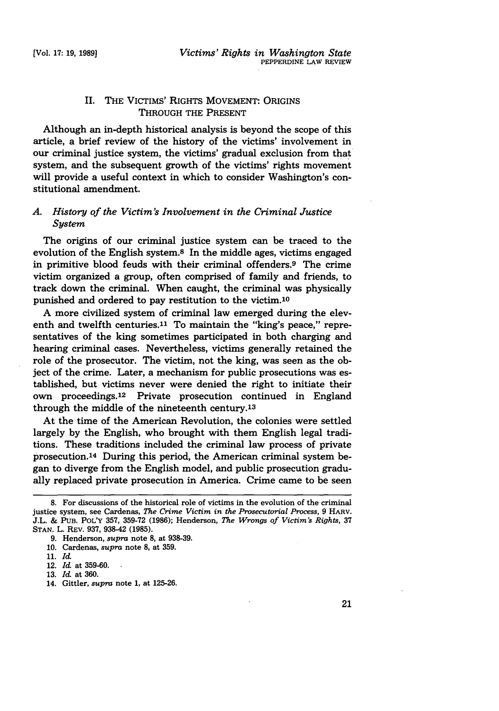## II. THE VICTIMS' RIGHTS MOVEMENT: ORIGINS THROUGH THE PRESENT

Although an in-depth historical analysis is beyond the scope of this article, a brief review of the history of the victims' involvement in our criminal justice system, the victims' gradual exclusion from that system, and the subsequent growth of the victims' rights movement will provide a useful context in which to consider Washington's constitutional amendment.

## *A. History of the Victim's Involvement in the Criminal Justice System*

The origins of our criminal justice system can be traced to the evolution of the English system.8 In the middle ages, victims engaged in primitive blood feuds with their criminal offenders.9 The crime victim organized a group, often comprised of family and friends, to track down the criminal. When caught, the criminal was physically punished and ordered to pay restitution to the victim.'0

A more civilized system of criminal law emerged during the eleventh and twelfth centuries.<sup>11</sup> To maintain the "king's peace," representatives of the king sometimes participated in both charging and hearing criminal cases. Nevertheless, victims generally retained the role of the prosecutor. The victim, not the king, was seen as the object of the crime. Later, a mechanism for public prosecutions was established, but victims never were denied the right to initiate their own proceedings.12 Private prosecution continued in England through the middle of the nineteenth century.13

At the time of the American Revolution, the colonies were settled largely by the English, who brought with them English legal traditions. These traditions included the criminal law process of private prosecution.14 During this period, the American criminal system began to diverge from the English model, and public prosecution gradually replaced private prosecution in America. Crime came to be seen

**<sup>8.</sup>** For discussions of the historical role of victims in the evolution of the criminal justice system, see Cardenas, *The Crime Victim in the Prosecutorial Process,* 9 HARV. J.L. & **PUB.** POL'Y 357, 359-72 (1986); Henderson, *The Wrongs of Victim's Rights,* <sup>37</sup> **STAN.** L. REV. 937, 938-42 (1985).

<sup>9.</sup> Henderson, *supra* note **8,** at 938-39.

<sup>10.</sup> Cardenas, *supra* note **8,** at 359.

**<sup>11.</sup>** *Id.*

<sup>12.</sup> *Id.* at 359-60.

<sup>13.</sup> *Id.* at 360.

<sup>14.</sup> Gittler, *supra* note 1, at 125-26.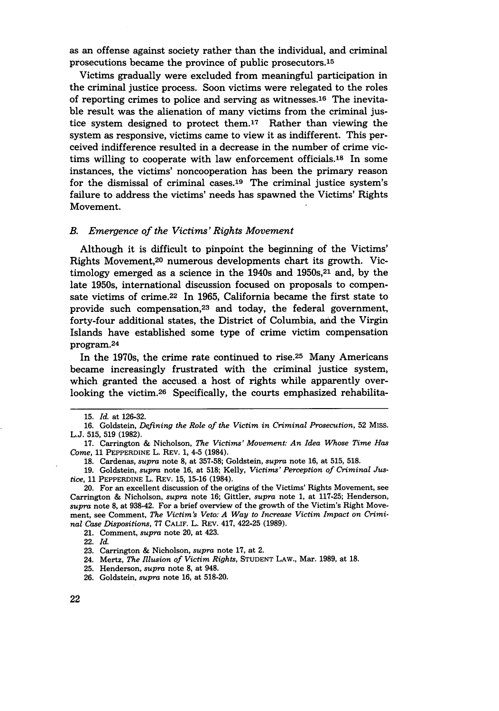as an offense against society rather than the individual, and criminal prosecutions became the province of public prosecutors.15

Victims gradually were excluded from meaningful participation in the criminal justice process. Soon victims were relegated to the roles of reporting crimes to police and serving as witnesses.16 The inevitable result was the alienation of many victims from the criminal justice system designed to protect them.<sup>17</sup> Rather than viewing the system as responsive, victims came to view it as indifferent. This perceived indifference resulted in a decrease in the number of crime victims willing to cooperate with law enforcement officials.18 In some instances, the victims' noncooperation has been the primary reason for the dismissal of criminal cases.19 The criminal justice system's failure to address the victims' needs has spawned the Victims' Rights Movement.

### *B. Emergence of the Victims' Rights Movement*

Although it is difficult to pinpoint the beginning of the Victims' Rights Movement, 20 numerous developments chart its growth. Victimology emerged as a science in the  $1940s$  and  $1950s$ ,  $21$  and, by the late 1950s, international discussion focused on proposals to compensate victims of crime.22 In 1965, California became the first state to provide such compensation,<sup>23</sup> and today, the federal government, forty-four additional states, the District of Columbia, and the Virgin Islands have established some type of crime victim compensation program. 24

In the 1970s, the crime rate continued to rise.25 Many Americans became increasingly frustrated with the criminal justice system, which granted the accused. a host of rights while apparently overlooking the victim.<sup>26</sup> Specifically, the courts emphasized rehabilita-

<sup>15.</sup> *Id.* at 126-32.

<sup>16.</sup> Goldstein, *Defining the Role of the Victim in Criminal Prosecution,* 52 MISS. L.J. 515, 519 (1982).

<sup>17.</sup> Carrington & Nicholson, *The Victims' Movement: An Idea Whose Time Has Come,* 11 PEPPERDINE L. REV. 1, 4-5 (1984).

<sup>18.</sup> Cardenas, *supra* note 8, at 357-58; Goldstein, *supra* note 16, at 515, 518.

<sup>19.</sup> Goldstein, *supra* note 16, at 518; Kelly, *Victims' Perception of Criminal Justice,* 11 PEPPERDINE L. REV. 15, 15-16 (1984).

<sup>20.</sup> For an excellent discussion of the origins of the Victims' Rights Movement, see Carrington & Nicholson, *supra* note 16; Gittler, *supra* note 1, at 117-25; Henderson, *supra* note 8, at 938-42. For a brief overview of the growth of the Victim's Right Movement, see Comment, *The Victim's Veto: A Way to Increase Victim Impact on Criminal Case Dispositions,* 77 CALIF. L. REV. 417, 422-25 (1989).

<sup>21.</sup> Comment, *supra* note 20, at 423.

<sup>22.</sup> *Id.*

<sup>23.</sup> Carrington & Nicholson, *supra* note 17, at 2.

<sup>24.</sup> Mertz, *The Illusion of Victim Rights,* STUDENT LAW., Mar. 1989, at 18.

<sup>25.</sup> Henderson, *supra* note 8, at 948.

<sup>26.</sup> Goldstein, *supra* note 16, at 518-20.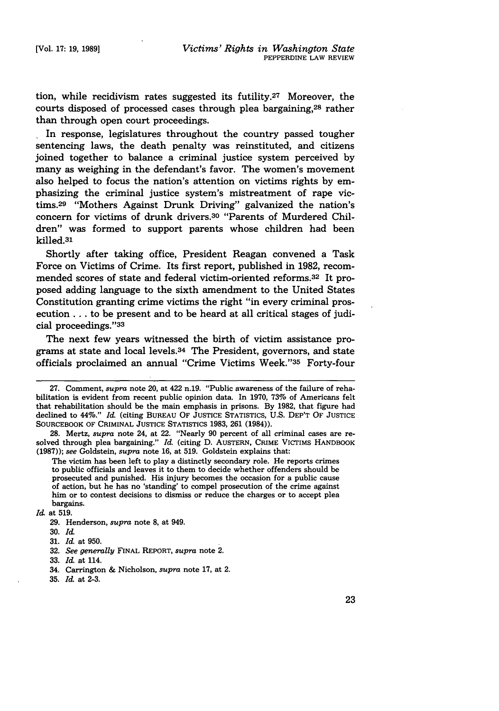tion, while recidivism rates suggested its futility.27 Moreover, the courts disposed of processed cases through plea bargaining,28 rather than through open court proceedings.

In response, legislatures throughout the country passed tougher sentencing laws, the death penalty was reinstituted, and citizens joined together to balance a criminal justice system perceived by many as weighing in the defendant's favor. The women's movement also helped to focus the nation's attention on victims rights by emphasizing the criminal justice system's mistreatment of rape victims.<sup>29</sup> "Mothers Against Drunk Driving" galvanized the nation's concern for victims of drunk drivers.<sup>30</sup> "Parents of Murdered Children" was formed to support parents whose children had been killed.31

Shortly after taking office, President Reagan convened a Task Force on Victims of Crime. Its first report, published in 1982, recommended scores of state and federal victim-oriented reforms.<sup>32</sup> It proposed adding language to the sixth amendment to the United States Constitution granting crime victims the right "in every criminal prosecution... to be present and to be heard at all critical stages of judicial proceedings."33

The next few years witnessed the birth of victim assistance programs at state and local levels.34 The President, governors, and state officials proclaimed an annual "Crime Victims Week."35 Forty-four

<sup>27.</sup> Comment, *supra* note 20, at 422 n.19. "Public awareness of the failure of rehabilitation is evident from recent public opinion data. In 1970, 73% of Americans felt that rehabilitation should be the main emphasis in prisons. By 1982, that figure had declined to 44%." *Id.* (citing BUREAU OF JUSTICE STATISTICS, U.S. DEP'T OF JUSTICE SOURCEBOOK OF CRIMINAL **JUSTICE** STATISTICS 1983, 261 (1984)).

**<sup>28.</sup>** Mertz, *supra* note 24, at 22. "Nearly 90 percent of all criminal cases are resolved through plea bargaining." *Id.* (citing D. AUSTERN, CRIME VICTIMS HANDBOOK (1987)); *see* Goldstein, *supra* note 16, at 519. Goldstein explains that:

The victim has been left to play a distinctly secondary role. He reports crimes to public officials and leaves it to them to decide whether offenders should be prosecuted and punished. His injury becomes the occasion for a public cause of action, but he has no 'standing' to compel prosecution of the crime against him or to contest decisions to dismiss or reduce the charges or to accept plea bargains.

*Id.* at 519.

<sup>29.</sup> Henderson, *supra* note **8,** at 949.

<sup>30.</sup> *Id.*

<sup>31.</sup> *Id.* at 950.

<sup>32.</sup> *See generally* FINAL REPORT, *supra* note 2.

<sup>33.</sup> *Id.* at 114.

<sup>34.</sup> Carrington & Nicholson, *supra* note 17, at 2.

**<sup>35.</sup>** *Id.* at 2-3.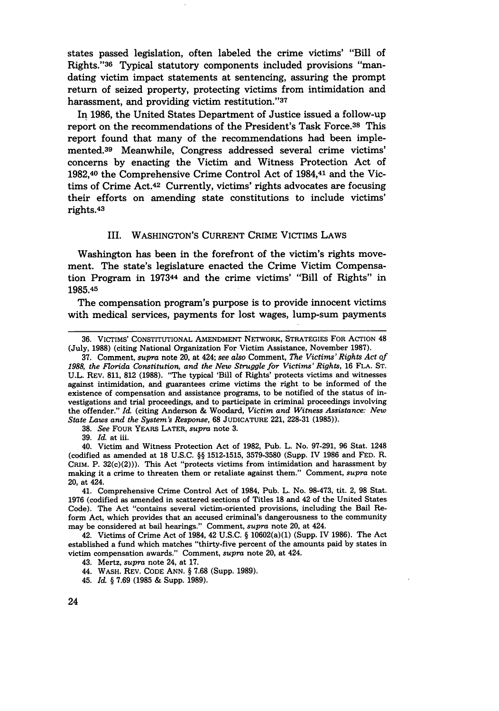states passed legislation, often labeled the crime victims' "Bill of Rights."36 Typical statutory components included provisions "mandating victim impact statements at sentencing, assuring the prompt return of seized property, protecting victims from intimidation and harassment, and providing victim restitution. **" <sup>37</sup>**

In 1986, the United States Department of Justice issued a follow-up report on the recommendations of the President's Task Force.38 This report found that many of the recommendations had been implemented.<sup>39</sup> Meanwhile, Congress addressed several crime victims' concerns by enacting the Victim and Witness Protection Act of 1982,40 the Comprehensive Crime Control Act of 1984,41 and the Victims of Crime Act.42 Currently, victims' rights advocates are focusing their efforts on amending state constitutions to include victims' rights.4<sup>3</sup>

#### III. WASHINGTON'S CURRENT CRIME VICTIMS LAWS

Washington has been in the forefront of the victim's rights movement. The state's legislature enacted the Crime Victim Compensation Program in 197344 and the crime victims' "Bill of Rights" in 1985.45

The compensation program's purpose is to provide innocent victims with medical services, payments for lost wages, lump-sum payments

38. *See* FOUR YEARS LATER, *supra* note 3.

39. *Id.* at iii.

40. Victim and Witness Protection Act of 1982, Pub. L. No. 97-291, 96 Stat. 1248 (codified as amended at **18** U.S.C. §§ 1512-1515, 3579-3580 (Supp. IV 1986 and FED. R. CRIM. P.  $32(c)(2))$ ). This Act "protects victims from intimidation and harassment by making it a crime to threaten them or retaliate against them." Comment, *supra* note 20, at 424.

42. Victims of Crime Act of 1984, 42 U.S.C. § 10602(a)(1) (Supp. IV 1986). The Act established a fund which matches "thirty-five percent of the amounts paid by states in victim compensation awards." Comment, *supra* note 20, at 424.

<sup>36.</sup> VICTIMS' CONSTITUTIONAL AMENDMENT NETWORK, STRATEGIES FOR ACTION 48 (July, 1988) (citing National Organization For Victim Assistance, November 1987).

<sup>37.</sup> Comment, *supra* note 20, at 424; *see also* Comment, *The Victims' Rights Act of 1988, the Florida Constitution, and the New Struggle for Victims' Rights,* 16 FLA. ST. U.L. REV. 811, 812 (1988). "The typical 'Bill of Rights' protects victims and witnesses against intimidation, and guarantees crime victims the right to be informed of the existence of compensation and assistance programs, to be notified of the status of investigations and trial proceedings, and to participate in criminal proceedings involving the offender." *Id.* (citing Anderson & Woodard, *Victim and Witness Assistance: New State Laws and the System's Response,* 68 JUDICATURE 221, 228-31 (1985)).

<sup>41.</sup> Comprehensive Crime Control Act of 1984, Pub. L. No. 98-473, tit. 2, 98 Stat. 1976 (codified as amended in scattered sections of Titles 18 and 42 of the United States Code). The Act "contains several victim-oriented provisions, including the Bail Reform Act, which provides that an accused criminal's dangerousness to the community may be considered at bail hearings." Comment, *supra* note 20, at 424.

<sup>43.</sup> Mertz, *supra* note 24, at 17.

<sup>44.</sup> WASH. REV. CODE ANN. § 7.68 (Supp. 1989).

<sup>45.</sup> *Id.* § 7.69 (1985 & Supp. 1989).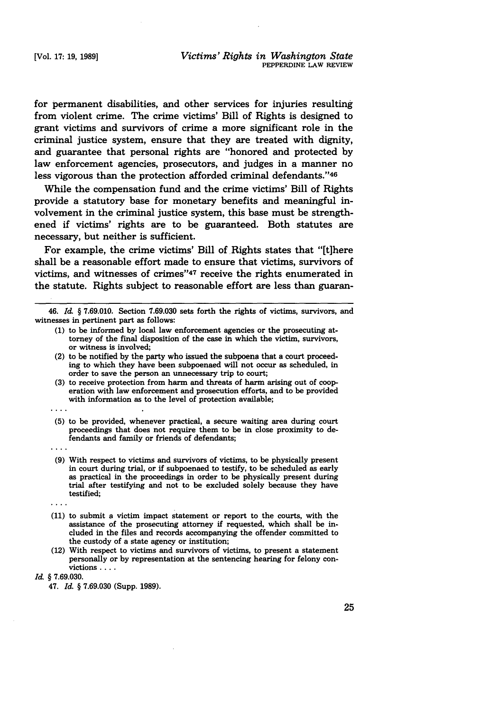for permanent disabilities, and other services for injuries resulting from violent crime. The crime victims' Bill of Rights is designed to grant victims and survivors of crime a more significant role in the criminal justice system, ensure that they are treated with dignity, and guarantee that personal rights are "honored and protected by law enforcement agencies, prosecutors, and judges in a manner no less vigorous than the protection afforded criminal defendants."46

While the compensation fund and the crime victims' Bill of Rights provide a statutory base for monetary benefits and meaningful involvement in the criminal justice system, this base must be strengthened if victims' rights are to be guaranteed. Both statutes are necessary, but neither is sufficient.

For example, the crime victims' Bill of Rights states that "[t]here shall be a reasonable effort made to ensure that victims, survivors of victims, and witnesses of crimes"<sup>47</sup> receive the rights enumerated in the statute. Rights subject to reasonable effort are less than guaran-

- **(1)** to be informed **by** local law enforcement agencies or the prosecuting attorney of the final disposition of the case in which the victim, survivors, or witness is involved;
- (2) to be notified **by** the party who issued the subpoena that a court proceeding to which they have been subpoenaed will not occur as scheduled, in order to save the person an unnecessary trip to court;
- **(3)** to receive protection from harm and threats of harm arising out of cooperation with law enforcement and prosecution efforts, and to be provided with information as to the level of protection available;
- **(5)** to be provided, whenever practical, a secure waiting area during court proceedings that does not require them to be in close proximity to defendants and family or friends of defendants;
- 

 $1.111$ 

- **(9)** With respect to victims and survivors of victims, to be physically present in court during trial, or if subpoenaed to testify, to be scheduled as early as practical in the proceedings in order to be physically present during trial after testifying and not to be excluded solely because they have testified;
- 
- **(11)** to submit a victim impact statement or report to the courts, with the assistance of the prosecuting attorney if requested, which shall be included in the files and records accompanying the offender committed to the custody of a state agency or institution;
- (12) With respect to victims and survivors of victims, to present a statement personally or **by** representation at the sentencing hearing for felony convictions . . . .

#### *Id* § **7.69.030.**

47. *Id.* § **7.69.030** (Supp. **1989).**

<sup>46.</sup> *Id,* § **7.69.010.** Section **7.69.030** sets forth the rights of victims, survivors, and witnesses in pertinent part as follows: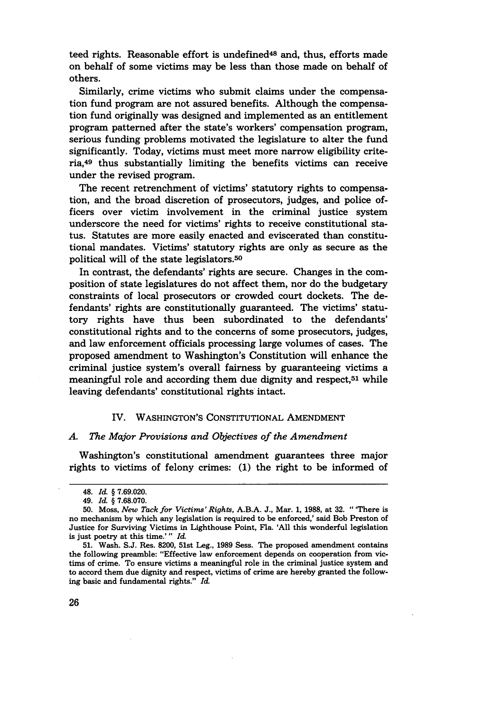teed rights. Reasonable effort is undefined<sup>48</sup> and, thus, efforts made on behalf of some victims may be less than those made on behalf of others.

Similarly, crime victims who submit claims under the compensation fund program are not assured benefits. Although the compensation fund originally was designed and implemented as an entitlement program patterned after the state's workers' compensation program, serious funding problems motivated the legislature to alter the fund significantly. Today, victims must meet more narrow eligibility criteria,49 thus substantially limiting the benefits victims can receive under the revised program.

The recent retrenchment of victims' statutory rights to compensation, and the broad discretion of prosecutors, judges, and police officers over victim involvement in the criminal justice system underscore the need for victims' rights to receive constitutional status. Statutes are more easily enacted and eviscerated than constitutional mandates. Victims' statutory rights are only as secure as the political will of the state legislators.<sup>50</sup>

In contrast, the defendants' rights are secure. Changes in the composition of state legislatures do not affect them, nor do the budgetary constraints of local prosecutors or crowded court dockets. The defendants' rights are constitutionally guaranteed. The victims' statutory rights have thus been subordinated to the defendants' constitutional rights and to the concerns of some prosecutors, judges, and law enforcement officials processing large volumes of cases. The proposed amendment to Washington's Constitution will enhance the criminal justice system's overall fairness by guaranteeing victims a meaningful role and according them due dignity and respect, $51$  while leaving defendants' constitutional rights intact.

#### IV. WASHINGTON'S CONSTITUTIONAL AMENDMENT

#### *A. The Major Provisions and Objectives of the Amendment*

Washington's constitutional amendment guarantees three major rights to victims of felony crimes: (1) the right to be informed of

<sup>48.</sup> *Id* § 7.69.020.

<sup>49.</sup> *Id.* § 7.68.070.

<sup>50.</sup> Moss, *New Tack for Victims' Rights,* A.B.A. J., Mar. 1, 1988, at 32. "'There is no mechanism by which any legislation is required to be enforced,' said Bob Preston of Justice for Surviving Victims in Lighthouse Point, Fla. 'All this wonderful legislation is just poetry at this time.' " *Id.*

<sup>51.</sup> Wash. S.J. Res. 8200, 51st Leg., 1989 Sess. The proposed amendment contains the following preamble: "Effective law enforcement depends on cooperation from victims of crime. To ensure victims a meaningful role in the criminal justice system and to accord them due dignity and respect, victims of crime are hereby granted the following basic and fundamental rights." *Id*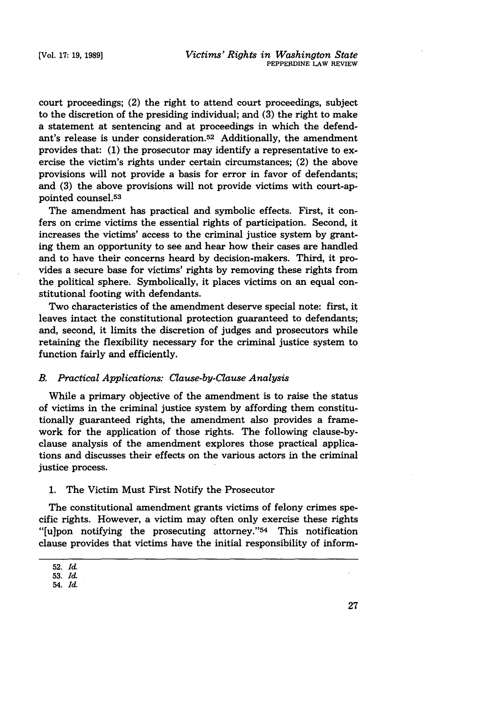court proceedings; (2) the right to attend court proceedings, subject to the discretion of the presiding individual; and (3) the right to make a statement at sentencing and at proceedings in which the defendant's release is under consideration.52 Additionally, the amendment provides that: (1) the prosecutor may identify a representative to exercise the victim's rights under certain circumstances; (2) the above provisions will not provide a basis for error in favor of defendants; and (3) the above provisions will not provide victims with court-appointed counsel.<sup>53</sup>

The amendment has practical and symbolic effects. First, it confers on crime victims the essential rights of participation. Second, it increases the victims' access to the criminal justice system **by** granting them an opportunity to see and hear how their cases are handled and to have their concerns heard **by** decision-makers. Third, it provides a secure base for victims' rights **by** removing these rights from the political sphere. Symbolically, it places victims on an equal constitutional footing with defendants.

Two characteristics of the amendment deserve special note: first, it leaves intact the constitutional protection guaranteed to defendants; and, second, it limits the discretion of judges and prosecutors while retaining the flexibility necessary for the criminal justice system to function fairly and efficiently.

#### *B. Practical Applications: Clause-by-Clause Analysis*

While a primary objective of the amendment is to raise the status of victims in the criminal justice system by affording them constitutionally guaranteed rights, the amendment also provides a framework for the application of those rights. The following clause-byclause analysis of the amendment explores those practical applications and discusses their effects on the various actors in the criminal justice process.

1. The Victim Must First Notify the Prosecutor

The constitutional amendment grants victims of felony crimes specific rights. However, a victim may often only exercise these rights "[u]pon notifying the prosecuting attorney."<sup>54</sup> This notification clause provides that victims have the initial responsibility of inform-

<sup>52.</sup> *Id.*

**<sup>53.</sup>** *I&*

<sup>54.</sup> *Id.*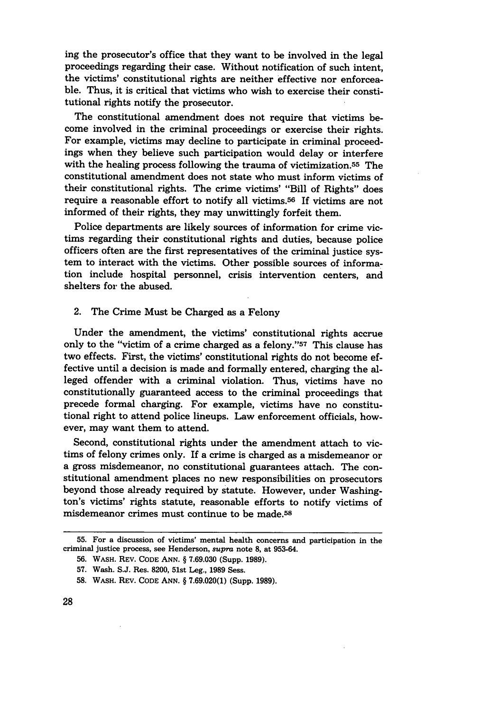ing the prosecutor's office that they want to be involved in the legal proceedings regarding their case. Without notification of such intent, the victims' constitutional rights are neither effective nor enforceable. Thus, it is critical that victims who wish to exercise their constitutional rights notify the prosecutor.

The constitutional amendment does not require that victims become involved in the criminal proceedings or exercise their rights. For example, victims may decline to participate in criminal proceedings when they believe such participation would delay or interfere with the healing process following the trauma of victimization.55 The constitutional amendment does not state who must inform victims of their constitutional rights. The crime victims' "Bill of Rights" does require a reasonable effort to notify all victims.<sup>56</sup> If victims are not informed of their rights, they may unwittingly forfeit them.

Police departments are likely sources of information for crime victims regarding their constitutional rights and duties, because police officers often are the first representatives of the criminal justice system to interact with the victims. Other possible sources of information include hospital personnel, crisis intervention centers, and shelters for the abused.

#### 2. The Crime Must be Charged as a Felony

Under the amendment, the victims' constitutional rights accrue only to the "victim of a crime charged as a felony."57 This clause has two effects. First, the victims' constitutional rights do not become effective until a decision is made and formally entered, charging the alleged offender with a criminal violation. Thus, victims have no constitutionally guaranteed access to the criminal proceedings that precede formal charging. For example, victims have no constitutional right to attend police lineups. Law enforcement officials, however, may want them to attend.

Second, constitutional rights under the amendment attach to victims of felony crimes only. If a crime is charged as a misdemeanor or a gross misdemeanor, no constitutional guarantees attach. The constitutional amendment places no new responsibilities on prosecutors beyond those already required by statute. However, under Washington's victims' rights statute, reasonable efforts to notify victims of misdemeanor crimes must continue to be made.58

**<sup>55.</sup>** For a discussion of victims' mental health concerns and participation in the criminal justice process, see Henderson, *supra* note **8,** at **953-64.**

**<sup>56.</sup>** WASH. REV. CODE **ANN.** § **7.69.030** (Supp. **1989).**

**<sup>57.</sup>** Wash. S.J. Res. **8200,** 51st Leg., **1989** Sess.

**<sup>58.</sup>** WASH. REV. CODE ANN. § **7.69.020(1)** (Supp. **1989).**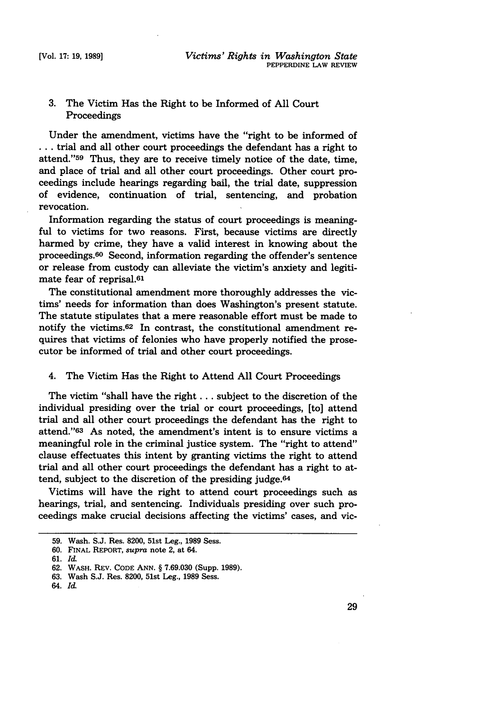## 3. The Victim Has the Right to be Informed of All Court Proceedings

Under the amendment, victims have the "right to be informed of **...** trial and all other court proceedings the defendant has a right to attend."59 Thus, they are to receive timely notice of the date, time, and place of trial and all other court proceedings. Other court proceedings include hearings regarding bail, the trial date, suppression of evidence, continuation of trial, sentencing, and probation revocation.

Information regarding the status of court proceedings is meaningful to victims for two reasons. First, because victims are directly harmed by crime, they have a valid interest in knowing about the proceedings. 60 Second, information regarding the offender's sentence or release from custody can alleviate the victim's anxiety and legitimate fear of reprisal.61

The constitutional amendment more thoroughly addresses the victims' needs for information than does Washington's present statute. The statute stipulates that a mere reasonable effort must be made to notify the victims.<sup>62</sup> In contrast, the constitutional amendment requires that victims of felonies who have properly notified the prosecutor be informed of trial and other court proceedings.

## 4. The Victim Has the Right to Attend All Court Proceedings

The victim "shall have the right **...** subject to the discretion of the individual presiding over the trial or court proceedings, [to] attend trial and all other court proceedings the defendant has the right to attend."63 As noted, the amendment's intent is to ensure victims a meaningful role in the criminal justice system. The "right to attend" clause effectuates this intent by granting victims the right to attend trial and all other court proceedings the defendant has a right to attend, subject to the discretion of the presiding judge.<sup>64</sup>

Victims will have the right to attend court proceedings such as hearings, trial, and sentencing. Individuals presiding over such proceedings make crucial decisions affecting the victims' cases, and vic-

**<sup>59.</sup>** Wash. **S.J.** Res. **8200,** 51st Leg., **1989** Sess.

**<sup>60.</sup>** FINAL REPORT, *supra* note 2, at 64.

**<sup>61.</sup>** *Id.*

**<sup>62.</sup>** WASH. REV. **CODE ANN.** § **7.69.030** (Supp. **1989).**

**<sup>63.</sup>** Wash **S.J.** Res. **8200,** 51st Leg., **1989** Sess.

<sup>64.</sup> *Id.*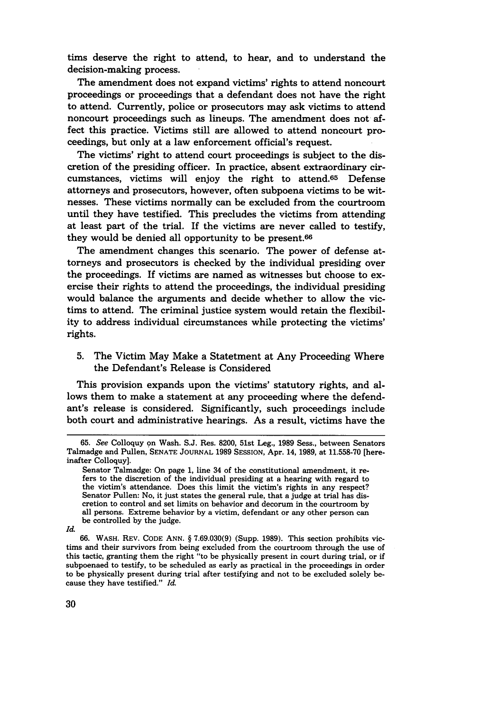tims deserve the right to attend, to hear, and to understand the decision-making process.

The amendment does not expand victims' rights to attend noncourt proceedings or proceedings that a defendant does not have the right to attend. Currently, police or prosecutors may ask victims to attend noncourt proceedings such as lineups. The amendment does not affect this practice. Victims still are allowed to attend noncourt proceedings, but only at a law enforcement official's request.

The victims' right to attend court proceedings is subject to the discretion of the presiding officer. In practice, absent extraordinary circumstances, victims will enjoy the right to attend.65 Defense attorneys and prosecutors, however, often subpoena victims to be witnesses. These victims normally can be excluded from the courtroom until they have testified. This precludes the victims from attending at least part of the trial. If the victims are never called to testify, they would be denied all opportunity to be present.66

The amendment changes this scenario. The power of defense attorneys and prosecutors is checked **by** the individual presiding over the proceedings. If victims are named as witnesses but choose to exercise their rights to attend the proceedings, the individual presiding would balance the arguments and decide whether to allow the victims to attend. The criminal justice system would retain the flexibility to address individual circumstances while protecting the victims' rights.

## **5.** The Victim May Make a Statetment at Any Proceeding Where the Defendant's Release is Considered

This provision expands upon the victims' statutory rights, and allows them to make a statement at any proceeding where the defendant's release is considered. Significantly, such proceedings include both court and administrative hearings. As a result, victims have the

**<sup>65.</sup>** *See* Colloquy on Wash. S.J. Res. 8200, 51st Leg., 1989 Sess., between Senators Talmadge and Pullen, SENATE JOURNAL 1989 SESSION, Apr. 14, 1989, at 11.558-70 [hereinafter Colloquy].

Senator Talmadge: On page 1, line 34 of the constitutional amendment, it re-<br>fers to the discretion of the individual presiding at a hearing with regard to the victim's attendance. Does this limit the victim's rights in any respect? Senator Pullen: No, it just states the general rule, that a judge at trial has discretion to control and set limits on behavior and decorum in the courtroom by all persons. Extreme behavior by a victim, defendant or any other person can be controlled by the judge.

*Id.*

<sup>66.</sup> WASH. REV. CODE **ANN.** § 7.69.030(9) (Supp. 1989). This section prohibits victims and their survivors from being excluded from the courtroom through the use of this tactic, granting them the right "to be physically present in court during trial, or if subpoenaed to testify, to be scheduled as early as practical in the proceedings in order to be physically present during trial after testifying and not to be excluded solely because they have testified." *Id.*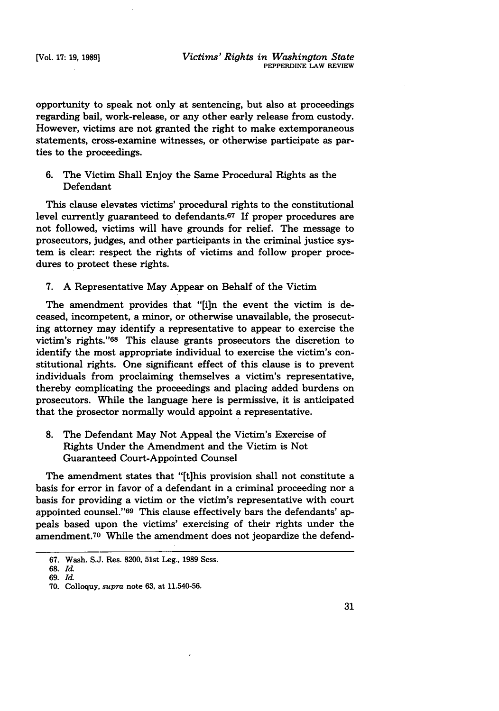opportunity to speak not only at sentencing, but also at proceedings regarding bail, work-release, or any other early release from custody. However, victims are not granted the right to make extemporaneous statements, cross-examine witnesses, or otherwise participate as parties to the proceedings.

6. The Victim Shall Enjoy the Same Procedural Rights as the Defendant

This clause elevates victims' procedural rights to the constitutional level currently guaranteed to defendants.<sup>67</sup> If proper procedures are not followed, victims will have grounds for relief. The message to prosecutors, judges, and other participants in the criminal justice system is clear: respect the rights of victims and follow proper procedures to protect these rights.

7. A Representative May Appear on Behalf of the Victim

The amendment provides that "[i]n the event the victim is deceased, incompetent, a minor, or otherwise unavailable, the prosecuting attorney may identify a representative to appear to exercise the victim's rights."68 This clause grants prosecutors the discretion to identify the most appropriate individual to exercise the victim's constitutional rights. One significant effect of this clause is to prevent individuals from proclaiming themselves a victim's representative, thereby complicating the proceedings and placing added burdens on prosecutors. While the language here is permissive, it is anticipated that the prosector normally would appoint a representative.

**8.** The Defendant May Not Appeal the Victim's Exercise of Rights Under the Amendment and the Victim is Not Guaranteed Court-Appointed Counsel

The amendment states that "[t]his provision shall not constitute a basis for error in favor of a defendant in a criminal proceeding nor a basis for providing a victim or the victim's representative with court appointed counsel."<sup>69</sup> This clause effectively bars the defendants' appeals based upon the victims' exercising of their rights under the amendment.70 While the amendment does not jeopardize the defend-

**<sup>67.</sup>** Wash. S.J. Res. **8200,** 51st Leg., **1989** Sess.

**<sup>68.</sup>** *Id.*

**<sup>69.</sup>** *Id.*

**<sup>70.</sup>** Colloquy, *supra* note **63,** at **11.540-56.**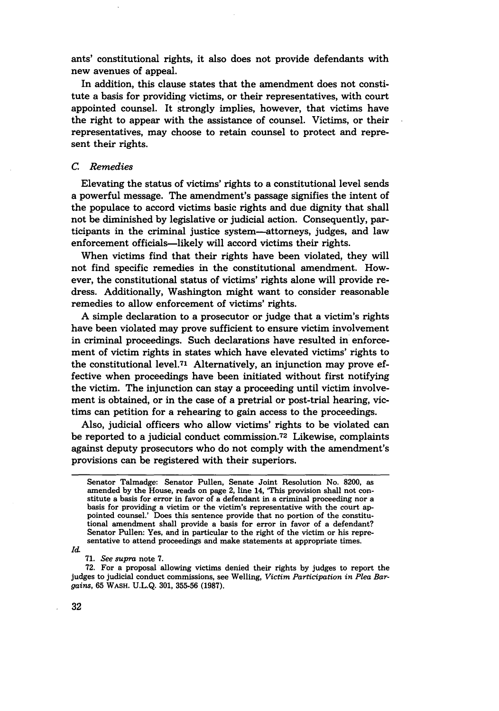ants' constitutional rights, it also does not provide defendants with new avenues of appeal.

In addition, this clause states that the amendment does not constitute a basis for providing victims, or their representatives, with court appointed counsel. It strongly implies, however, that victims have the right to appear with the assistance of counsel. Victims, or their representatives, may choose to retain counsel to protect and represent their rights.

#### *C. Remedies*

Elevating the status of victims' rights to a constitutional level sends a powerful message. The amendment's passage signifies the intent of the populace to accord victims basic rights and due dignity that shall not be diminished by legislative or judicial action. Consequently, participants in the criminal justice system-attorneys, judges, and law enforcement officials-likely will accord victims their rights.

When victims find that their rights have been violated, they will not find specific remedies in the constitutional amendment. However, the constitutional status of victims' rights alone will provide redress. Additionally, Washington might want to consider reasonable remedies to allow enforcement of victims' rights.

A simple declaration to a prosecutor or judge that a victim's rights have been violated may prove sufficient to ensure victim involvement in criminal proceedings. Such declarations have resulted in enforcement of victim rights in states which have elevated victims' rights to the constitutional level.71 Alternatively, an injunction may prove effective when proceedings have been initiated without first notifying the victim. The injunction can stay a proceeding until victim involvement is obtained, or in the case of a pretrial or post-trial hearing, victims can petition for a rehearing to gain access to the proceedings.

Also, judicial officers who allow victims' rights to be violated can be reported to a judicial conduct commission.<sup>72</sup> Likewise, complaints against deputy prosecutors who do not comply with the amendment's provisions can be registered with their superiors.

Id.

**71.** *See supra* note **7.**

**72.** For a proposal allowing victims denied their rights **by** judges to report the judges to judicial conduct commissions, see Welling, *Victim Participation in Plea Bargains,* **65** WASH. **U.L.Q. 301, 355-56 (1987).**

Senator Talmadge: Senator Pullen, Senate Joint Resolution No. **8200,** as amended **by** the House, reads on page 2, line 14, 'This provision shall not con- stitute a basis for error in favor of a defendant in a criminal proceeding nor a basis for providing a victim or the victim's representative with the court appointed counsel.' Does this sentence provide that no portion of the constitutional amendment shall provide a basis for error in favor of a defendant? Senator Pullen: Yes, and in particular to the right of the victim or his representative to attend proceedings and make statements at appropriate times.